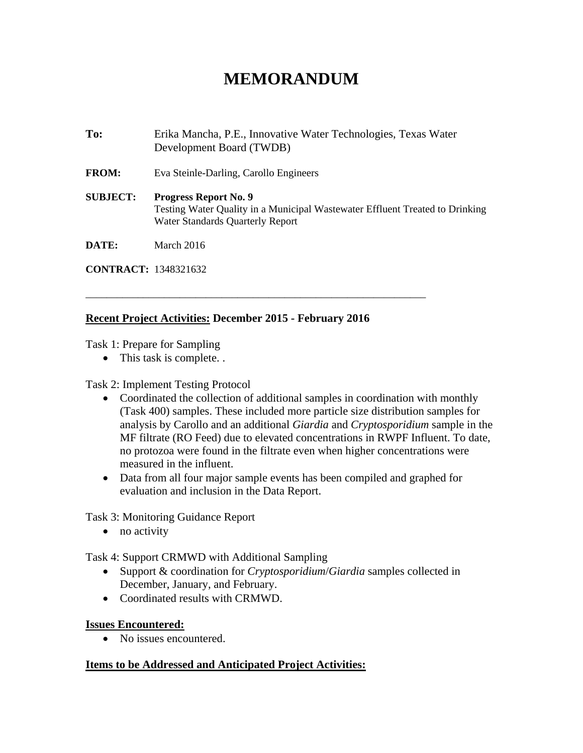# **MEMORANDUM**

**To:** Erika Mancha, P.E., Innovative Water Technologies, Texas Water Development Board (TWDB) **FROM:** Eva Steinle-Darling, Carollo Engineers **SUBJECT: Progress Report No. 9**  Testing Water Quality in a Municipal Wastewater Effluent Treated to Drinking Water Standards Quarterly Report **DATE:** March 2016

**CONTRACT:** 1348321632

### **Recent Project Activities: December 2015 - February 2016**

\_\_\_\_\_\_\_\_\_\_\_\_\_\_\_\_\_\_\_\_\_\_\_\_\_\_\_\_\_\_\_\_\_\_\_\_\_\_\_\_\_\_\_\_\_\_\_\_\_\_\_\_\_\_\_\_\_\_\_\_\_\_\_\_\_

Task 1: Prepare for Sampling

• This task is complete. .

#### Task 2: Implement Testing Protocol

- Coordinated the collection of additional samples in coordination with monthly (Task 400) samples. These included more particle size distribution samples for analysis by Carollo and an additional *Giardia* and *Cryptosporidium* sample in the MF filtrate (RO Feed) due to elevated concentrations in RWPF Influent. To date, no protozoa were found in the filtrate even when higher concentrations were measured in the influent.
- Data from all four major sample events has been compiled and graphed for evaluation and inclusion in the Data Report.

Task 3: Monitoring Guidance Report

• no activity

Task 4: Support CRMWD with Additional Sampling

- Support & coordination for *Cryptosporidium*/*Giardia* samples collected in December, January, and February.
- Coordinated results with CRMWD.

#### **Issues Encountered:**

• No issues encountered.

#### **Items to be Addressed and Anticipated Project Activities:**